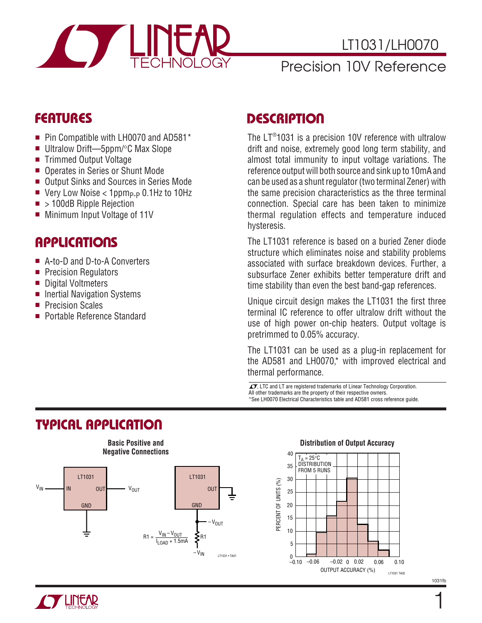

## LT1031/LH0070

## Precision 10V Reference

## **FEATURES**

- Pin Compatible with LH0070 and AD581<sup>\*</sup>
- Ultralow Drift—5ppm/°C Max Slope
- Trimmed Output Voltage
- Operates in Series or Shunt Mode
- Output Sinks and Sources in Series Mode
- Very Low Noise  $<$  1ppm<sub>P-P</sub> 0.1Hz to 10Hz
- > 100dB Ripple Rejection
- Minimum Input Voltage of 11V

### **APPLICATIONS**

- A-to-D and D-to-A Converters
- Precision Regulators
- Digital Voltmeters
- Inertial Navigation Systems
- Precision Scales
- Portable Reference Standard

## **DESCRIPTION**

The LT® 1031 is a precision 10V reference with ultralow drift and noise, extremely good long term stability, and almost total immunity to input voltage variations. The reference output will both source and sink up to 10mA and can be used as a shunt regulator (two terminal Zener) with the same precision characteristics as the three terminal connection. Special care has been taken to minimize thermal regulation effects and temperature induced hysteresis.

The LT1031 reference is based on a buried Zener diode structure which eliminates noise and stability problems associated with surface breakdown devices. Further, a subsurface Zener exhibits better temperature drift and time stability than even the best band-gap references.

Unique circuit design makes the LT1031 the first three terminal IC reference to offer ultralow drift without the use of high power on-chip heaters. Output voltage is pretrimmed to 0.05% accuracy.

The LT1031 can be used as a plug-in replacement for the AD581 and LH0070,\* with improved electrical and thermal performance.

 $\sqrt{J}$ , LTC and LT are registered trademarks of Linear Technology Corporation. All other trademarks are the property of their respective owners. \*See LH0070 Electrical Characteristics table and AD581 cross reference guide.

## **TYPICAL APPLICATIO U**





### **Distribution of Output Accuracy**



1031fb

1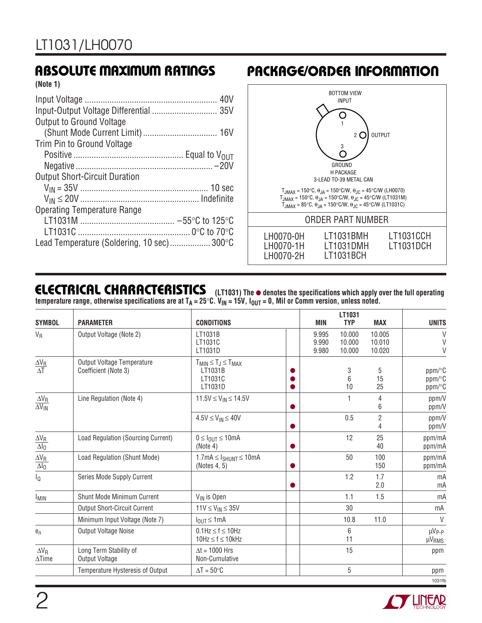## **ABSOLUTE MAXIMUM RATINGS**

**(Note 1)**

| <b>Output to Ground Voltage</b>            |  |
|--------------------------------------------|--|
|                                            |  |
| Trim Pin to Ground Voltage                 |  |
|                                            |  |
|                                            |  |
| <b>Output Short-Circuit Duration</b>       |  |
|                                            |  |
|                                            |  |
| <b>Operating Temperature Range</b>         |  |
|                                            |  |
|                                            |  |
| Lead Temperature (Soldering, 10 sec) 300°C |  |

# **PACKAGE/ORDER INFORMATION**



## **ELECTRICAL CHARACTERISTICS**

**(LT1031) The** ● **denotes the specifications which apply over the full operating temperature range, otherwise specifications are at TA = 25**°**C. VIN = 15V, IOUT = 0, Mil or Comm version, unless noted.**

| <b>SYMBOL</b>                                  | <b>PARAMETER</b>                                          | <b>CONDITIONS</b>                                                | MIN                     | LT1031<br><b>TYP</b>       | <b>MAX</b>                 | <b>UNITS</b>                           |
|------------------------------------------------|-----------------------------------------------------------|------------------------------------------------------------------|-------------------------|----------------------------|----------------------------|----------------------------------------|
| $V_R$                                          | Output Voltage (Note 2)                                   | LT1031B<br>LT1031C<br>LT1031D                                    | 9.995<br>9.990<br>9.980 | 10.000<br>10.000<br>10.000 | 10.005<br>10.010<br>10.020 | $\vee$<br>V                            |
| $\frac{\Delta V_R}{\Delta T}$                  | <b>Output Voltage Temperature</b><br>Coefficient (Note 3) | $T_{MIN} \leq T_J \leq T_{MAX}$<br>LT1031B<br>LT1031C<br>LT1031D |                         | 3<br>6<br>10               | 5<br>15<br>25              | ppm/°C<br>ppm/°C<br>ppm/°C             |
| $\Delta V_R$<br>$\overline{\Delta V_{\sf IN}}$ | Line Regulation (Note 4)                                  | $11.5V \le V_{IN} \le 14.5V$                                     |                         |                            | 4<br>6                     | ppm/V<br>ppm/V                         |
|                                                |                                                           | $4.5V \leq V_{IN} \leq 40V$                                      |                         | 0.5                        | $\overline{2}$<br>4        | ppm/V<br>ppm/V                         |
| $\underline{\Delta V_R}$<br>$\Delta I_0$       | Load Regulation (Sourcing Current)                        | $0 \leq I_{OIII} \leq 10$ mA<br>(Note 4)                         |                         | 12                         | 25<br>40                   | ppm/mA<br>ppm/mA                       |
| $\frac{\Delta V_R}{\Delta I_0}$                | Load Regulation (Shunt Mode)                              | $1.7mA \leq I_{SHUNT} \leq 10mA$<br>(Notes 4, 5)                 |                         | 50                         | 100<br>150                 | ppm/mA<br>ppm/mA                       |
| lQ                                             | Series Mode Supply Current                                |                                                                  |                         | 1.2                        | 1.7<br>2.0                 | mA<br>mA                               |
| <b>I<sub>MIN</sub></b>                         | Shunt Mode Minimum Current                                | V <sub>IN</sub> is Open                                          |                         | 1.1                        | 1.5                        | mA                                     |
|                                                | <b>Output Short-Circuit Current</b>                       | $11V \leq V_{IN} \leq 35V$                                       |                         | 30                         |                            | mA                                     |
|                                                | Minimum Input Voltage (Note 7)                            | $I_{OUT} \leq 1mA$                                               |                         | 10.8                       | 11.0                       | $\vee$                                 |
| $e_n$                                          | Output Voltage Noise                                      | $0.1$ Hz $\leq f \leq 10$ Hz<br>$10Hz \le f \le 10kHz$           |                         | 6<br>11                    |                            | µVp <sub>-P</sub><br>μV <sub>RMS</sub> |
| $\Delta V_R$<br>$\Delta$ Time                  | Long Term Stability of<br>Output Voltage                  | $\Delta t = 1000$ Hrs<br>Non-Cumulative                          |                         | 15                         |                            | ppm                                    |
|                                                | Temperature Hysteresis of Output                          | $\Delta T = 50^{\circ}C$                                         |                         | 5                          |                            | ppm                                    |
|                                                |                                                           |                                                                  |                         |                            |                            | 1031fb                                 |

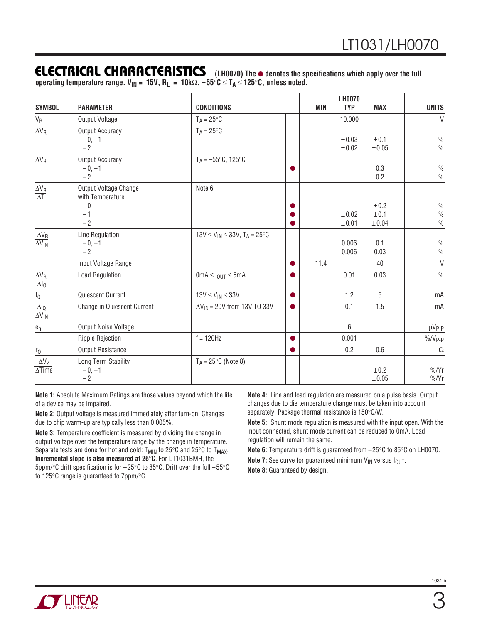### **ELECTRICAL CHARACTERISTICS**

**(LH0070) The** ● **denotes the specifications which apply over the full operating temperature range. VIN = 15V, RL = 10k**Ω**, –55**°**C** ≤ **TA** ≤ **125**°**C, unless noted.**

|                                                             |                                                                   |                                                |           |            | <b>LH0070</b>            |                            |                                                 |
|-------------------------------------------------------------|-------------------------------------------------------------------|------------------------------------------------|-----------|------------|--------------------------|----------------------------|-------------------------------------------------|
| <b>SYMBOL</b>                                               | <b>PARAMETER</b>                                                  | <b>CONDITIONS</b>                              |           | <b>MIN</b> | <b>TYP</b>               | <b>MAX</b>                 | <b>UNITS</b>                                    |
| $V_R$                                                       | Output Voltage                                                    | $T_A = 25^{\circ}C$                            |           |            | 10.000                   |                            | V                                               |
| $\Delta V_R$                                                | Output Accuracy<br>$-0, -1$<br>$-2$                               | $T_A = 25^{\circ}C$                            |           |            | $\pm 0.03$<br>$\pm 0.02$ | ±0.1<br>$\pm 0.05$         | $\frac{0}{0}$<br>$\frac{0}{0}$                  |
| $\Delta V_R$                                                | Output Accuracy<br>$-0, -1$<br>$-2$                               | $T_A = -55^{\circ}C$ , 125 $^{\circ}C$         |           |            |                          | 0.3<br>0.2                 | $\%$<br>$\frac{0}{0}$                           |
| $\frac{\Delta V_R}{\Delta T}$                               | Output Voltage Change<br>with Temperature<br>$-0$<br>$-1$<br>$-2$ | Note 6                                         |           |            | ±0.02<br>±0.01           | ±0.2<br>±0.1<br>$\pm 0.04$ | $\frac{0}{0}$<br>$\frac{0}{0}$<br>$\frac{0}{0}$ |
| $\Delta\mathrm{V}_\mathrm{R}$<br>$\overline{\Delta V_{IN}}$ | Line Regulation<br>$-0, -1$<br>$-2$                               | $13V \le V_{IN} \le 33V$ , $T_A = 25^{\circ}C$ |           |            | 0.006<br>0.006           | 0.1<br>0.03                | $\frac{0}{0}$<br>$\frac{0}{0}$                  |
|                                                             | Input Voltage Range                                               |                                                | ●         | 11.4       |                          | 40                         | V                                               |
| $\frac{\Delta V_R}{\Delta I_0}$                             | <b>Load Regulation</b>                                            | $0 \text{mA} \leq I_{OUT} \leq 5 \text{mA}$    |           |            | 0.01                     | 0.03                       | $\frac{0}{0}$                                   |
| $I_{\mathbb{Q}}$                                            | Quiescent Current                                                 | $13V \leq V_{IN} \leq 33V$                     | ●         |            | 1.2                      | 5                          | mA                                              |
| $\Delta I_{\rm Q}$<br>$\overline{\Delta V_{IN}}$            | Change in Quiescent Current                                       | $\Delta V_{IN}$ = 20V from 13V TO 33V          |           |            | 0.1                      | 1.5                        | mA                                              |
| $e_n$                                                       | Output Noise Voltage                                              |                                                |           |            | $6\,$                    |                            | µV <sub>P-P</sub>                               |
|                                                             | <b>Ripple Rejection</b>                                           | $f = 120$ Hz                                   |           |            | 0.001                    |                            | $\%$ /V <sub>P-P</sub>                          |
| $r_0$                                                       | <b>Output Resistance</b>                                          |                                                | $\bullet$ |            | 0.2                      | 0.6                        | $\Omega$                                        |
| $\Delta V_Z$<br>$\overline{\Delta$ Time                     | Long Term Stability<br>$-0, -1$<br>$-2$                           | $T_A = 25^{\circ}C$ (Note 8)                   |           |            |                          | ±0.2<br>$\pm 0.05$         | $\frac{9}{6}$<br>$\frac{9}{6}$ /Yr              |

**Note 1:** Absolute Maximum Ratings are those values beyond which the life of a device may be impaired.

**Note 2:** Output voltage is measured immediately after turn-on. Changes due to chip warm-up are typically less than 0.005%.

**Note 3:** Temperature coefficient is measured by dividing the change in output voltage over the temperature range by the change in temperature. Separate tests are done for hot and cold:  $T_{MIN}$  to 25 $\degree$ C and 25 $\degree$ C to  $T_{MAX}$ . **Incremental slope is also measured at 25**°**C**. For LT1031BMH, the 5ppm/°C drift specification is for –25°C to 85°C. Drift over the full –55°C to 125°C range is guaranteed to 7ppm/°C.

**Note 4:** Line and load regulation are measured on a pulse basis. Output changes due to die temperature change must be taken into account separately. Package thermal resistance is 150°C/W.

**Note 5:** Shunt mode regulation is measured with the input open. With the input connected, shunt mode current can be reduced to 0mA. Load regulation will remain the same.

**Note 6:** Temperature drift is guaranteed from –25°C to 85°C on LH0070.

**Note 7:** See curve for guaranteed minimum V<sub>IN</sub> versus  $I_{OUT}$ .

**Note 8:** Guaranteed by design.

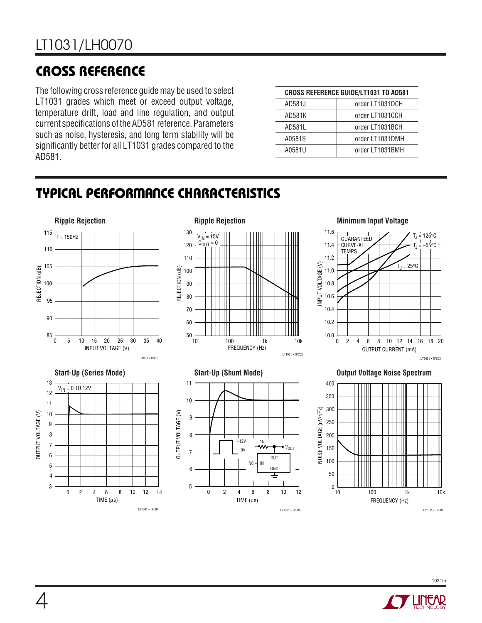# **CROSS REFERENCE U**

The following cross reference guide may be used to select LT1031 grades which meet or exceed output voltage, temperature drift, load and line regulation, and output current specifications of the AD581 reference. Parameters such as noise, hysteresis, and long term stability will be significantly better for all LT1031 grades compared to the AD581.

| <b>CROSS REFERENCE GUIDE/LT1031 TO AD581</b> |                 |  |  |
|----------------------------------------------|-----------------|--|--|
| AD581J                                       | order LT1031DCH |  |  |
| AD581K                                       | order LT1031CCH |  |  |
| AD581L                                       | order LT1031BCH |  |  |
| A0581S                                       | order LT1031DMH |  |  |
| A0581U                                       | order LT1031BMH |  |  |

# **TYPICAL PERFORMANCE CHARACTERISTICS**



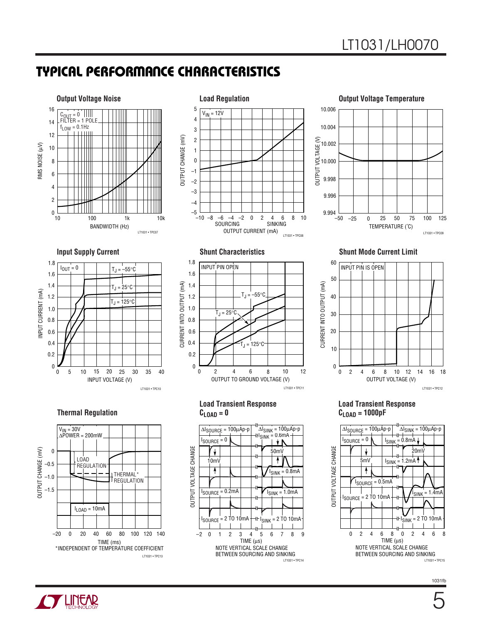## **TYPICAL PERFORMANCE CHARACTERISTICS**



 $TIME$  ( $\mu s$ )

NOTE VERTICAL SCALE CHANGE BETWEEN SOURCING AND SINKING

LT1031 • TPC14

I<sub>SINK</sub> = 2 TO 10mA

I<sub>SINK</sub> = 1.0mA

–2 0 1 2 3 4 56 8 7 9

I SOURCE = 0.2mA

I SOURCE = 2 TO 10mA

LT1031 • TPC09



**Load Transient Response**



1031fb



–1.5

TIME (ms) \*INDEPENDENT OF TEMPERATURE COEFFICIENT

LT1031 • TPC13

–20 0 20 40 60 80 100 120 140

 $I_{LOAD} = 10mA$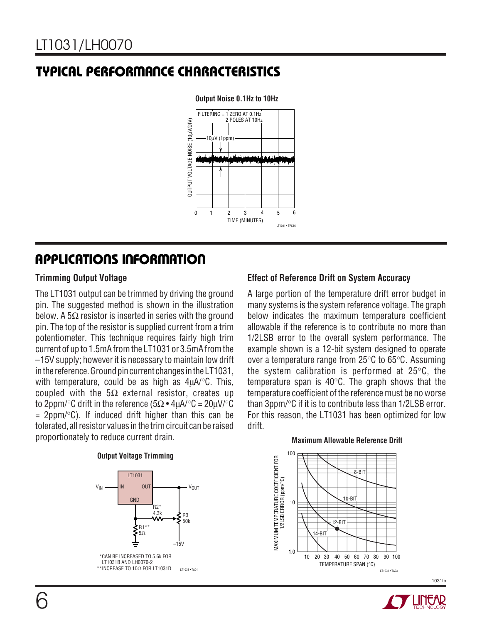## **TYPICAL PERFORMANCE CHARACTERISTICS**



### **Output Noise 0.1Hz to 10Hz**

## **APPLICATIONS INFORMATION**

### **Trimming Output Voltage**

The LT1031 output can be trimmed by driving the ground pin. The suggested method is shown in the illustration below. A  $5\Omega$  resistor is inserted in series with the ground pin. The top of the resistor is supplied current from a trim potentiometer. This technique requires fairly high trim current of up to 1.5mA from the LT1031 or 3.5mA from the –15V supply; however it is necessary to maintain low drift in the reference. Ground pin current changes in the LT1031, with temperature, could be as high as  $4\mu A$ <sup>o</sup>C. This, coupled with the  $5\Omega$  external resistor, creates up to 2ppm/°C drift in the reference (5 $\Omega \cdot 4\mu$ A/°C = 20 $\mu$ V/°C  $= 2ppm$ <sup>o</sup>C). If induced drift higher than this can be tolerated, all resistor values in the trim circuit can be raised proportionately to reduce current drain.

### **Output Voltage Trimming**



### **Effect of Reference Drift on System Accuracy**

A large portion of the temperature drift error budget in many systems is the system reference voltage. The graph below indicates the maximum temperature coefficient allowable if the reference is to contribute no more than 1/2LSB error to the overall system performance. The example shown is a 12-bit system designed to operate over a temperature range from 25°C to 65°C**.** Assuming the system calibration is performed at 25°C, the temperature span is 40°C. The graph shows that the temperature coefficient of the reference must be no worse than 3ppm/°C if it is to contribute less than 1/2LSB error. For this reason, the LT1031 has been optimized for low drift.

### 100 MAXIMUM TEMPERATURE COEFFICIENT FOR<br>1/2LSB ERROR (ppm/°C)  $\overline{\mathsf{R}-\mathsf{R}}$ 1/2LSB ERROR (ppm/°C) 10-BIT 10 12-BIT  $14 - B1$

TEMPERATURE SPAN (°C)

20 30 40 50 60 70 80 90 100

10

1.0

30

MAXIMUM TEMPERATURE COEFFICIENT FOR

**Maximum Allowable Reference Drift**



LT1031 • TA03

1031fb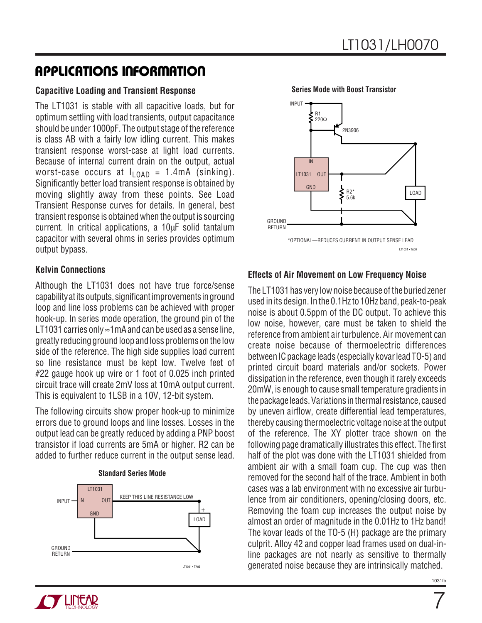## **APPLICATIONS INFORMATION**

### **Capacitive Loading and Transient Response**

The LT1031 is stable with all capacitive loads, but for optimum settling with load transients, output capacitance should be under 1000pF. The output stage of the reference is class AB with a fairly low idling current. This makes transient response worst-case at light load currents. Because of internal current drain on the output, actual worst-case occurs at  $I_{10AD}$  = 1.4mA (sinking). Significantly better load transient response is obtained by moving slightly away from these points. See Load Transient Response curves for details. In general, best transient response is obtained when the output is sourcing current. In critical applications, a 10µF solid tantalum capacitor with several ohms in series provides optimum output bypass.

### **Kelvin Connections**

Although the LT1031 does not have true force/sense capability at its outputs, significant improvements in ground loop and line loss problems can be achieved with proper hook-up. In series mode operation, the ground pin of the LT1031 carries only ≈1mA and can be used as a sense line. greatly reducing ground loop and loss problems on the low side of the reference. The high side supplies load current so line resistance must be kept low. Twelve feet of #22 gauge hook up wire or 1 foot of 0.025 inch printed circuit trace will create 2mV loss at 10mA output current. This is equivalent to 1LSB in a 10V, 12-bit system.

The following circuits show proper hook-up to minimize errors due to ground loops and line losses. Losses in the output lead can be greatly reduced by adding a PNP boost transistor if load currents are 5mA or higher. R2 can be added to further reduce current in the output sense lead.



**Standard Series Mode**



### **Series Mode with Boost Transistor**

### **Effects of Air Movement on Low Frequency Noise**

The LT1031 has very low noise because of the buried zener used in its design. In the 0.1Hz to 10Hz band, peak-to-peak noise is about 0.5ppm of the DC output. To achieve this low noise, however, care must be taken to shield the reference from ambient air turbulence. Air movement can create noise because of thermoelectric differences between IC package leads (especially kovar lead TO-5) and printed circuit board materials and/or sockets. Power dissipation in the reference, even though it rarely exceeds 20mW, is enough to cause small temperature gradients in the package leads. Variations in thermal resistance, caused by uneven airflow, create differential lead temperatures, thereby causing thermoelectric voltage noise at the output of the reference. The XY plotter trace shown on the following page dramatically illustrates this effect. The first half of the plot was done with the LT1031 shielded from ambient air with a small foam cup. The cup was then removed for the second half of the trace. Ambient in both cases was a lab environment with no excessive air turbulence from air conditioners, opening/closing doors, etc. Removing the foam cup increases the output noise by almost an order of magnitude in the 0.01Hz to 1Hz band! The kovar leads of the TO-5 (H) package are the primary culprit. Alloy 42 and copper lead frames used on dual-inline packages are not nearly as sensitive to thermally generated noise because they are intrinsically matched.



7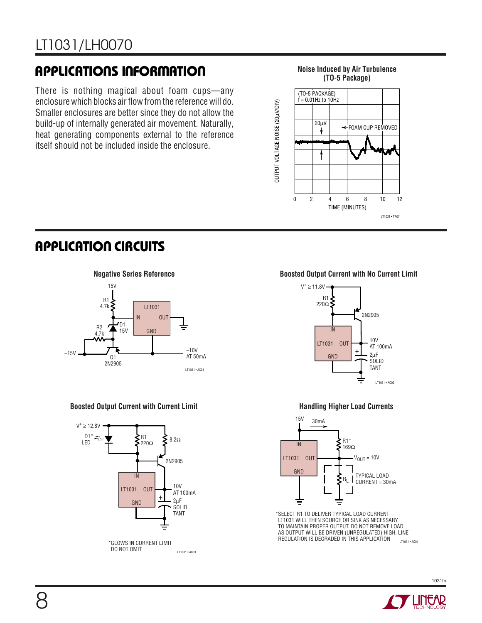# **APPLICATIONS INFORMATION** Moise Induced by Air Turbulence

There is nothing magical about foam cups—any enclosure which blocks air flow from the reference will do. Smaller enclosures are better since they do not allow the build-up of internally generated air movement. Naturally, heat generating components external to the reference itself should not be included inside the enclosure.

# **(TO-5 Package)**



## **APPLICATION CIRCUITS**



### **Boosted Output Current with Current Limit**



### **Negative Series Reference Boosted Output Current with No Current Limit**



### **Handling Higher Load Currents**



LT1031 • AC04 \*SELECT R1 TO DELIVER TYPICAL LOAD CURRENT LT1031 WILL THEN SOURCE OR SINK AS NECESSARY TO MAINTAIN PROPER OUTPUT. DO NOT REMOVE LOAD, AS OUTPUT WILL BE DRIVEN (UNREGULATED) HIGH. LINE REGULATION IS DEGRADED IN THIS APPLICATION

1031fb

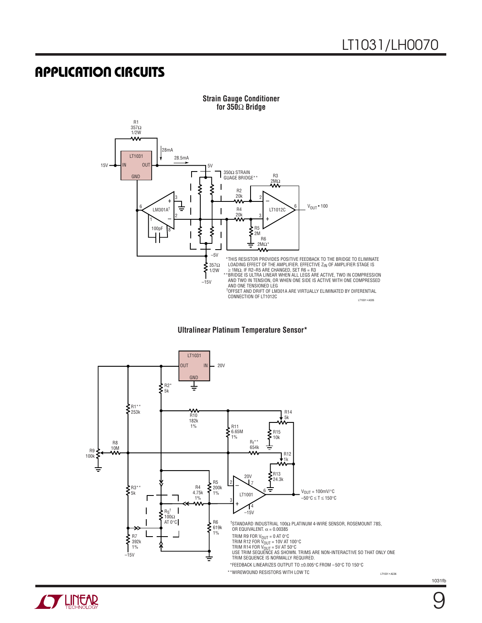### **APPLICATION CIRCUITS**







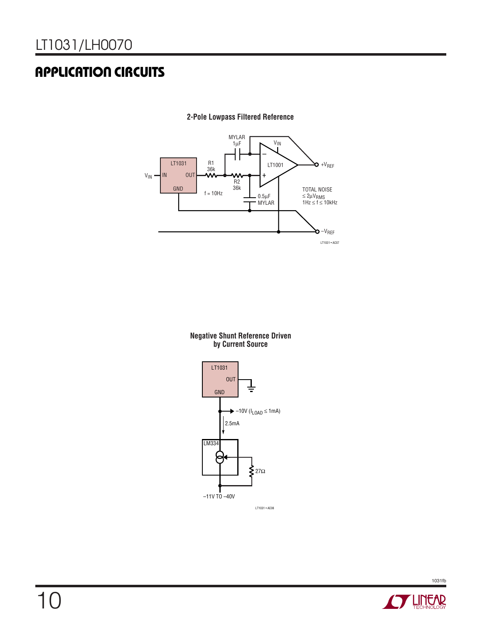# **APPLICATION CIRCUITS**



**2-Pole Lowpass Filtered Reference**

#### **Negative Shunt Reference Driven by Current Source**





1031fb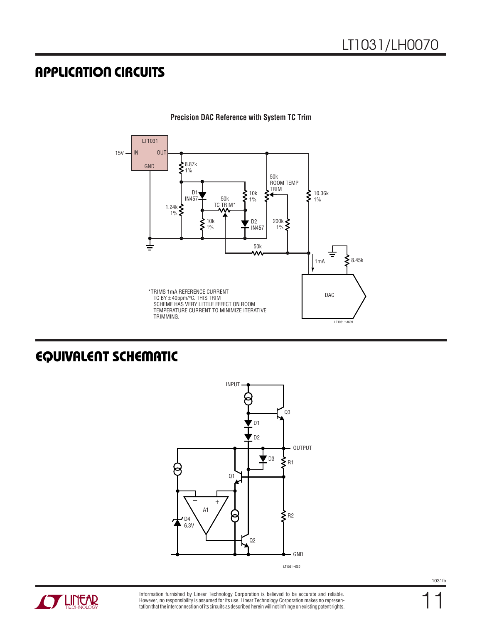## **APPLICATION CIRCUITS**



**Precision DAC Reference with System TC Trim**

## **EQUIVALENT SCHEMATIC**





Information furnished by Linear Technology Corporation is believed to be accurate and reliable. However, no responsibility is assumed for its use. Linear Technology Corporation makes no representation that the interconnection of its circuits as described herein will not infringe on existing patent rights. 11